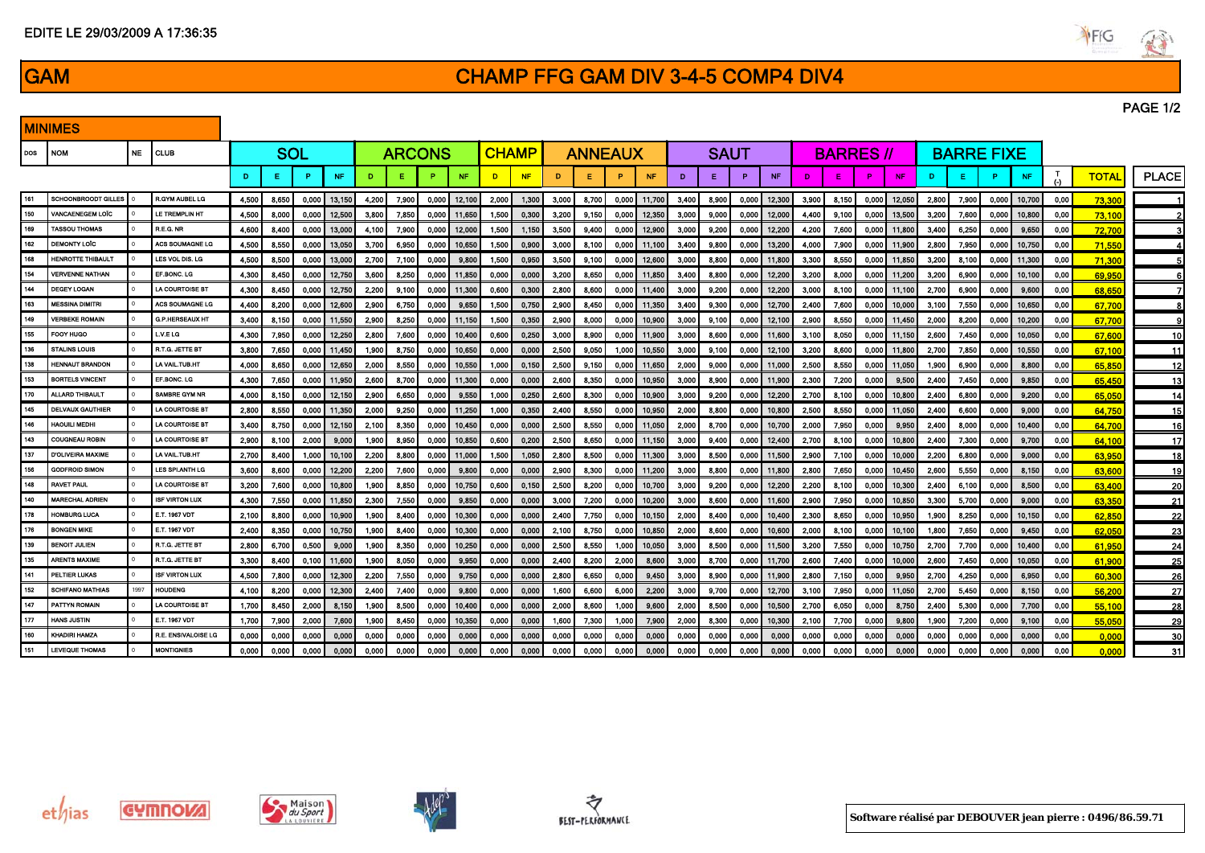| 7,800 | 0,000 | 12,300 | 2,200 | 7,550 | 0,000                    | 9,750  | 0,000 | 0,000 | 2,800 | 6,650 | 0,000 | 9,450 | 3,000 | 8,900 | 0,000 | 11,900       | 2,800 | 7,150 | 0,000 | 9,950  | 2,700 | 4,250 | 0,000 | 6,950 | 0,00 | 60,300 | 26              |
|-------|-------|--------|-------|-------|--------------------------|--------|-------|-------|-------|-------|-------|-------|-------|-------|-------|--------------|-------|-------|-------|--------|-------|-------|-------|-------|------|--------|-----------------|
| 8,200 | 0,000 | 12,300 | 2,400 | 7,400 | 0,000                    | 9,800  | 0,000 | 0,000 | 1,600 | 6,600 | 6,000 | 2,200 | 3,000 | 9,700 | 0,000 | 12,700       | 3,100 | 7,950 | 0,000 | 11,050 | 2.700 | 5,450 | 0,000 | 8.150 | 0,00 | 56,200 | 27 <sup>1</sup> |
| 8,450 | 2,000 | 8,150  | 1,900 | 8,500 | 0,000                    | 10,400 | 0,000 | 0,000 | 2,000 | 8,600 | 1,000 | 9,600 | 2,000 | 8,500 |       | 0,000 10,500 | 2,700 | 6,050 | 0,000 | 8,750  | 2,400 | 5,300 | 0,000 | 7,700 | 0,00 | 55,100 | 28              |
| 7,900 | 2,000 | 7,600  | 1,900 | 8,450 | 0,000                    | 10,350 | 0,000 | 0,000 | 1,600 | 7,300 | 1,000 | 7,900 | 2,000 | 8,300 |       | 0,000 10,300 | 2,100 | 7,700 | 0,000 | 9,800  | 1,900 | 7,200 | 0,000 | 9,100 | 0,00 | 55,050 | 29              |
| 0,000 | 0,000 | 0,000  | 0,000 | 0,000 | 0,000                    | 0,000  | 0.000 | 0,000 | 0,000 | 0,000 | 0,000 | 0,000 | 0,000 | 0,000 | 0,000 | 0,000        | 0,000 | 0,000 | 0,000 | 0,000  | 0,000 | 0,000 | 0,000 | 0,000 | 0,00 | 0,000  | 30 I            |
| 0,000 | 0,000 | 0,000  | 0,000 | 0,000 | 0,000                    | 0,000  | 0.000 | 0,000 | 0,000 | 0,000 | 0,000 | 0,000 | 0,000 | 0,000 | 0,000 | 0,000        | 0,000 | 0,000 | 0,000 | 0,000  | 0,000 | 0,000 | 0,000 | 0,000 | 0,00 | 0,000  | -311            |
|       |       |        |       |       |                          |        |       |       |       |       |       |       |       |       |       |              |       |       |       |        |       |       |       |       |      |        |                 |
|       |       |        |       |       |                          |        |       |       |       |       |       |       |       |       |       |              |       |       |       |        |       |       |       |       |      |        |                 |
|       |       |        |       |       |                          |        |       |       |       |       |       |       |       |       |       |              |       |       |       |        |       |       |       |       |      |        |                 |
|       |       |        |       |       |                          |        |       |       |       |       |       |       |       |       |       |              |       |       |       |        |       |       |       |       |      |        |                 |
|       |       |        |       |       |                          |        |       |       |       |       |       |       |       |       |       |              |       |       |       |        |       |       |       |       |      |        |                 |
|       |       |        |       |       |                          |        |       |       |       |       |       |       |       |       |       |              |       |       |       |        |       |       |       |       |      |        |                 |
|       |       |        |       |       |                          |        |       |       |       |       |       |       |       |       |       |              |       |       |       |        |       |       |       |       |      |        |                 |
|       |       |        |       |       |                          |        |       |       |       |       |       |       |       |       |       |              |       |       |       |        |       |       |       |       |      |        |                 |
|       |       |        |       |       | the contract of the con- |        |       |       |       |       |       |       |       |       |       |              |       |       |       |        |       |       |       |       |      |        |                 |

EDITE LE 29/03/2009 A 17:36:35

## GAM CHAMP FFG GAM DIV 3-4-5 COMP4 DIV4

|     | <u>I MINIMES</u>           |           |                            |       |            |       |           |               |       |         |                  |              |           |         |                |       |                  |       |             |        |                  |       |                  |         |                  |       |                   |        |           |              |              |              |
|-----|----------------------------|-----------|----------------------------|-------|------------|-------|-----------|---------------|-------|---------|------------------|--------------|-----------|---------|----------------|-------|------------------|-------|-------------|--------|------------------|-------|------------------|---------|------------------|-------|-------------------|--------|-----------|--------------|--------------|--------------|
| DOS | <b>NOM</b>                 | <b>NE</b> | <b>CLUB</b>                |       | <b>SOL</b> |       |           | <b>ARCONS</b> |       |         |                  | <b>CHAMP</b> |           |         | <b>ANNEAUX</b> |       |                  |       | <b>SAUT</b> |        |                  |       | <b>BARRES //</b> |         |                  |       | <b>BARRE FIXE</b> |        |           |              |              |              |
|     |                            |           |                            | D     |            |       | <b>NF</b> | Ð             |       |         | <b>NF</b>        | n            | <b>NF</b> | D       | Е              | P     | <b>NF</b>        | D.    | Е.          | P      | <b>NF</b>        | D     | E                | P       | <b>NF</b>        | D     | Е.                | P.     | <b>NF</b> | $\mathbf{T}$ | <b>TOTAL</b> | <b>PLACE</b> |
| 161 | <b>SCHOONBROODT GILLES</b> |           | R.GYM AUBEL LG             | 4,500 | 8,650      | 0.000 | 13.150    | 4,200         | 7,900 |         | $0,000$   12.100 | 2.000 l      | 1,300     | 3,000 l | 8,700          |       | 0.000 11.700     | 3,400 | 8,900       |        | $0.000$   12.300 | 3,900 | 8,150            |         | $0,000$ 12 050   | 2,800 | 7,900             | 0,000  | 10,700    | 0,00         | 73,300       |              |
| 150 | <b>VANCAENEGEM LOIC</b>    |           | LE TREMPLIN HT             | 4,500 | 8,000      | 0.000 | 12 500    | 3,800         | 7,850 | 0,000   | 11.650           | 1,500        | 0,300     | 3,200   | 9.150          | 0.000 | 12,350           | 3,000 | 9,000       | 0.000  | 12,000           | 4,400 | 9,100            | 0.000   | 13.500           | 3,200 | 7,600             | 0.000  | 10.800    | 0,00         | 73.100       |              |
| 169 | <b>TASSOU THOMAS</b>       |           | R.E.G. NR                  | 4,600 | 8,400      | 0.000 | 13.000    | 4,100         | 7,900 | 0.000   | 12.000           | 1,500        | 1,150     | 3,500   | 9.400          | 0.000 | 12,900           | 3,000 | 9.200       |        | $0.000$ 12 200   | 4,200 | 7,600            |         | $0.000$   11.800 | 3,400 | 6,250             | 0.000  | 9.650     | 0,00         | 72,700       |              |
| 162 | <b>DEMONTY LOIC</b>        |           | ACS SOUMAGNE LG            | 4,500 | 8,550      | 0.000 | 13.050    | 3,700         | 6,950 | 0.000 l | 10.650           | 1,500        | 0,900     | 3.000   | 8.100          |       | $0.000$   11,100 | 3.400 | 9.800       |        | $0.000$   13.200 | 4,000 | 7,900            | 0.000   | 11.900           | 2,800 | 7,950             | 0.000  | 10.750    | 0,00         | 71,550       |              |
| 168 | <b>HENROTTE THIBAULT</b>   |           | LES VOL DIS. LG            | 4,500 | 8,500      | 0,000 | 13,000    | 2,700         | 7,100 | 0.000   | 9.800            | 1.500        | 0,950     | 3,500   | 9.100          | 0.000 | 12,600           | 3,000 | 8,800       |        | $0.000$   11,800 | 3,300 | 8,550            | 0.0001  | 11.850           | 3,200 | 8,100             | 0,000  | 11.300    | 0,00         | 71.300       |              |
| 154 | <b>VERVENNE NATHAN</b>     |           | EF BONC, LG                | 4.300 | 8,450      | 0.000 | 12.750    | 3.600         | 8.250 | 0.000   | 11.850           | 0.000        | 0.000     | 3.200   | 8.650          | 0.000 | 11,850           | 3.400 | 8.800       |        | $0.000$   12.200 | 3,200 | 8.000            | 0.000 l | 11.200           | 3.200 | 6.900             | 0.0001 | 10.100    | 0,00         | 69,950       |              |
| 144 | DEGEY LOGAN                |           | LA COURTOISE BT            | 4,300 | 8,450      | 0.000 | 12 750    | 2,200         | 9,100 | 0.000   | 11.300           | 0.600        | 0,300     | 2,800   | 8.600          | 0.000 | 11,400           | 3,000 | 9.200       | 0.000  | 12 200           | 3,000 | 8,100            | 0.0001  | 11.100           | 2,700 | 6,900             | 0.000  | 9.600     | 0,00         | 68.650       |              |
| 163 | <b>MESSINA DIMITRI</b>     |           | ACS SOUMAGNE LG            | 4,400 | 8,200      | 0.000 | 12.600    | 2,900         | 6,750 | 0,000   | 9.650            | 1,500        | 0,750     | 2,900   | 8.450          |       | 0,000 11,350     | 3,400 | 9,300       |        | $0.000$   12.700 | 2,400 | 7,600            |         | $0.000$   10.000 | 3,100 | 7,550             | 0,000  | 10.650    | 0,00         | 67.700       |              |
| 149 | <b>VERBEKE ROMAIN</b>      |           | <b>G.P. HERSEAUX HT</b>    | 3,400 | 8,150      | 0.000 | 11.550    | 2.900         | 8,250 | 0,000   | 11.150           | 1.500        | 0,350     | 2.900   | 8.000          | 0.000 | 10.900           | 3.000 | 9.100       |        | $0.000$   12.100 | 2,900 | 8,550            | 0.000   | 11.450           | 2,000 | 8,200             | 0.000  | 10.200    | 0,00         | 67,700       |              |
| 155 | FOOY HUGO                  |           | LV.ELG                     | 4,300 | 7,950      | 0.000 | 12.250    | 2,800         | 7,600 |         | $0,000$   10,400 | 0.600        | 0,250     | 3,000   | 8.900          |       | $0.000$   11,900 | 3,000 | 8,600       |        | $0.000$   11.600 | 3,100 | 8,050            |         | $0.000$   11.150 | 2,600 | 7,450             | 0,000  | 10.050    | 0,00         | 67.600       | -10          |
| 136 | <b>STALINS LOUIS</b>       |           | R.T.G. JETTE BT            | 3,800 | 7,650      | 0.000 | 11.450    | 1,900         | 8,750 | 0.000   | 10.650           | 0.000        | 0,000     | 2,500   | 9.050          | 1.000 | 10,550           | 3,000 | 9.100       |        | $0,000$   12,100 | 3,200 | 8,600            | 0.000   | 11.800           | 2,700 | 7,850             | 0.000  | 10.550    | 0,00         | 67.100       | -11          |
| 138 | <b>HENNAUT BRANDON</b>     |           | LA VAIL.TUB.HT             | 4,000 | 8,650      | 0.000 | 12.650    | 2,000         | 8,550 | 0,000   | 10.550           | 1,000        | 0,150     | 2,500   | 9.150          | 0.000 | 11,650           | 2,000 | 9.000       |        | 0,000   11,000   | 2,500 | 8,550            | 0.0001  | 11.050           | 1,900 | 6,900             | 0.000  | 8.800     | 0,00         | 65.850       | -12          |
| 153 | <b>BORTELS VINCENT</b>     |           | EF BONC, LG                | 4,300 | 7,650      | 0.000 | 11.950    | 2,600         | 8,700 |         | 0.000 11.300     | 0,000        | 0,000     | 2,600   | 8,350          | 0,000 | 10,950           | 3,000 | 8.900       |        | $0.000$   11,900 | 2,300 | 7,200            | 0.000   | 9.500            | 2.400 | 7,450             | 0.000  | 9.850     | 0,00         | 65,450       | 13           |
| 170 | ALLARD THIBAULT            |           | SAMBRE GYM NR              | 4,000 | 8.150      | 0.000 | 12.150    | 2,900         | 6,650 | 0.000   | 9.550            | 1,000        | 0,250     | 2,600   | 8.300          | 0.000 | 10,900           | 3,000 | 9.200       |        | $0.000$   12.200 | 2,700 | 8,100            | 0.0001  | 10,800           | 2,400 | 6,800             | 0.000  | 9.200     | 0,00         | 65.050       | -14          |
| 145 | <b>DELVAUX GAUTHIER</b>    |           | <b>LA COURTOISE BT</b>     | 2,800 | 8,550      | 0.000 | 11,350    | 2,000         | 9,250 | 0.000   | 11.250           | 1,000        | 0,350     | 2,400   | 8.550          | 0,000 | 10,950           | 2,000 | 8.800       | 0.0001 | 10,800           | 2,500 | 8,550            | 0.000   | 11,050           | 2.400 | 6,600             | 0.000  | 9.000     | 0,00         | 64.750       | 15           |
| 146 | <b>HAOUILI MEDHI</b>       |           | LA COURTOISE BT            | 3,400 | 8,750      | 0.000 | 12.150    | 2,100         | 8.350 | 0.000   | 10.450           | 0.000        | 0.000     | 2.500   | 8.550          | 0.000 | 11,050           | 2,000 | 8.700       |        | $0.000$   10.700 | 2,000 | 7,950            | 0.000   | 9.950            | 2.400 | 8,000             | 0.000  | 10.400    | 0.00         | 64.700       | 16           |
| 143 | <b>COUGNEAU ROBIN</b>      |           | LA COURTOISE BT            | 2,900 | 8,100      | 2.000 | 9.000     | 1,900         | 8,950 | 0.000   | 10.850           | 0.600        | 0,200     | 2,500   | 8.650          | 0.000 | 11,150           | 3,000 | 9.400       |        | $0.000$   12.400 | 2,700 | 8,100            | 0.000   | 10.800           | 2.400 | 7,300             | 0.000  | 9.700     | 0,00         | 64.100       | -17          |
| 137 | D'OLIVEIRA MAXIME          |           | LA VAIL TUB HT             | 2,700 | 8,400      | 1,000 | 10,100    | 2.200         | 8,800 |         | 0.000 11.000     | 1,500        | 1,050     | 2,800   | 8.500          |       | 0,000 11,300     | 3,000 | 8.500       |        | $0.000$   11.500 | 2,900 | 7,100            |         | $0.000$   10.000 | 2.200 | 6,800             | 0.000  | 9.000     | 0,00         | 63.950       | 18           |
| 156 | <b>GODFROID SIMON</b>      |           | LES SPI ANTH LG            | 3,600 | 8,600      | 0.000 | 12.200    | 2.200         | 7,600 | 0.000   | 9.800            | 0.000        | 0,000     | 2,900   | 8.300          |       | 0,000   11,200   | 3,000 | 8.800       |        | $0.000$   11.800 | 2,800 | 7.650            | 0.000   | 10,450           | 2,600 | 5,550             | 0.000  | 8.150     | 0,00         | 63,600       | -19          |
| 148 | <b>RAVET PAUL</b>          |           | <b>LA COURTOISE BT</b>     | 3,200 | 7,600      | 0.000 | 10.800    | 1,900         | 8,850 |         | $0.000$   10.750 | 0,600        | 0,150     | 2,500   | 8.200          | 0,000 | 10,700           | 3,000 | 9.200       |        | $0.000$   12.200 | 2.200 | 8,100            |         | $0.000$   10.300 | 2,400 | 6,100             | 0.000  | 8.500     | 0,00         | 63.400       | 20           |
| 140 | <b>MARECHAL ADRIEN</b>     |           | <b>ISF VIRTON LUX</b>      | 4,300 | 7,550      | 0,000 | 11.850    | 2,300         | 7,550 | 0.000   | 9.850            | 0.000        | 0,000     | 3,000   | 7,200          | 0.000 | 10,200           | 3,000 | 8.600       |        | $0.000$   11.600 | 2,900 | 7,950            | 0.000   | 10,850           | 3,300 | 5,700             | 0.000  | 9.000     | 0,00         | 63,350       | 21           |
| 178 | <b>HOMBURG LUCA</b>        |           | E.T. 1967 VDT              | 2,100 | 8,800      | 0.000 | 10.900    | 1,900         | 8,400 | 0.000   | 10.300           | 0.000        | 0,000     | 2.400   | 7.750          | 0.000 | 10,150           | 2,000 | 8.400       |        | $0.000$   10.400 | 2,300 | 8,650            | 0.0001  | 10.950           | 1,900 | 8,250             | 0.000  | 10.150    | 0.00         | 62.850       | 22           |
| 176 | <b>BONGEN MIKE</b>         |           | E.T. 1967 VDT              | 2,400 | 8.350      | 0.000 | 10,750    | 1,900         | 8,400 | 0.000   | 10.300           | 0,000        | 0,000     | 2,100   | 8,750          | 0,000 | 10,850           | 2,000 | 8.600       |        | $0.000$   10.600 | 2,000 | 8,100            |         | $0,000$ 10,100   | 1,800 | 7,650             | 0.000  | 9.450     | 0,00         | 62.050       | 23           |
| 139 | <b>BENOIT JULIEN</b>       |           | R.T.G. JETTE BT            | 2,800 | 6,700      | 0.500 | 9.000     | 1,900         | 8,350 | 0.000   | 10.250           | 0.000        | 0,000     | 2,500   | 8,550          | 1,000 | 10,050           | 3,000 | 8.500       |        | 0.000   11.500   | 3,200 | 7.550            | 0.0001  | 10.750           | 2,700 | 7,700             | 0.000  | 10.400    | 0,00         | 61.950       | 24           |
| 135 | <b>ARENTS MAXIME</b>       |           | R.T.G. JETTE BT            | 3,300 | 8,400      | 0,100 | 11,600    | 1,900         | 8.050 | 0.000   | 9.950            | 0.000        | 0.000     | 2,400   | 8.200          | 2,000 | 8,600            | 3,000 | 8.700       |        | $0.000$   11.700 | 2,600 | 7.400            | 0.0001  | 10.000           | 2.600 | 7,450             | 0.000  | 10.050    | 0,00         | 61.900       | 25           |
| 141 | PELTIER LUKAS              |           | <b>ISF VIRTON LUX</b>      | 4,500 | 7,800      | 0.000 | 12.300    | 2.200         | 7.550 | 0.000   | 9.750            | 0.000        | 0.000     | 2.800   | 6.650          | 0.000 | 9,450            | 3.000 | 8.900       |        | $0.000$   11.900 | 2,800 | 7.150            | 0.000 l | 9.950            | 2.700 | 4,250             | 0.000  | 6.950     | 0,00         | 60,300       | 26           |
| 152 | <b>SCHIFANO MATHIAS</b>    | 1997      | HOUDENG                    | 4.100 | 8.200      | 0.000 | 12.300    | 2,400         | 7.400 | 0.000   | 9.800            | 0.000        | 0.000     | 1,600   | 6.600          | 6.000 | 2.200            | 3,000 | 9.700       |        | $0.000$   12.700 | 3.100 | 7,950            | 0.0001  | 11.050           | 2.700 | 5,450             | 0.000  | 8.150     | 0.00         | 56.200       | 27           |
| 147 | PATTYN ROMAIN              |           | <b>LA COURTOISE BT</b>     | 1,700 | 8,450      | 2.000 | 8,150     | 1,900         | 8,500 | 0.000   | 10,400           | 0,000        | 0,000     | 2.000   | 8,600          | 1,000 | 9,600            | 2,000 | 8.500       |        | $0.000$   10.500 | 2,700 | 6,050            | 0.0001  | 8,750            | 2.400 | 5,300             | 0.000  | 7,700     | 0,00         | 55,100       | 28           |
| 177 | <b>HANS JUSTIN</b>         |           | E.T. 1967 VDT              | 1,700 | 7,900      | 2.000 | 7,600     | 1.900         | 8,450 | 0.000   | 10.350           | 0,000        | 0,000     | 1,600   | 7,300          | 1,000 | 7.900            | 2,000 | 8,300       |        | $0,000$   10,300 | 2,100 | 7,700            | 0.000   | 9,800            | 1,900 | 7,200             | 0.000  | 9,100     | 0,00         | 55,050       | 29           |
| 160 | KHADIRI HAMZA              |           | <b>R.E. ENSIVALOISE LG</b> | 0.000 | 0.000      | 0.000 | 0.000     | 0.000         | 0.000 | 0.000   | 0.000            | 0.000        | 0.000     | 0.000   | 0,000          | 0,000 | 0.000            | 0.000 | 0.000       | 0.000  | 0.000            | 0,000 | 0.000            | 0.000   | 0,000            | 0,000 | 0.000             | 0.000  | 0.000     | 0,00         | 0.000        | 30           |
| 151 | LEVEQUE THOMAS             |           | <b>MONTIGNIES</b>          | 0.000 | 0,000      | 0,000 | 0.000     | 0.000         | 0.000 | 0.000   | 0.000            | 0.000        | 0.000     | 0.000   | 0.000          | 0.000 | 0.0001           | 0.000 | 0.000       | 0.000  | 0,000            | 0.000 | 0.000            | 0.000   | 0.000            | 0,000 | 0.000             | 0.000  | 0.000     | 0.00         | 0.000        | 31           |













PAGE 1/2